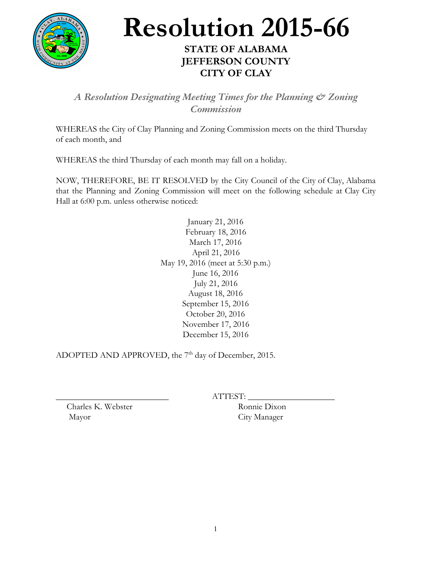

## **Resolution 2015-66**

## **STATE OF ALABAMA JEFFERSON COUNTY CITY OF CLAY**

*A Resolution Designating Meeting Times for the Planning & Zoning Commission*

WHEREAS the City of Clay Planning and Zoning Commission meets on the third Thursday of each month, and

WHEREAS the third Thursday of each month may fall on a holiday.

NOW, THEREFORE, BE IT RESOLVED by the City Council of the City of Clay, Alabama that the Planning and Zoning Commission will meet on the following schedule at Clay City Hall at 6:00 p.m. unless otherwise noticed:

> January 21, 2016 February 18, 2016 March 17, 2016 April 21, 2016 May 19, 2016 (meet at 5:30 p.m.) June 16, 2016 July 21, 2016 August 18, 2016 September 15, 2016 October 20, 2016 November 17, 2016 December 15, 2016

ADOPTED AND APPROVED, the  $7<sup>th</sup>$  day of December, 2015.

ATTEST:

Charles K. Webster Ronnie Dixon Mayor City Manager